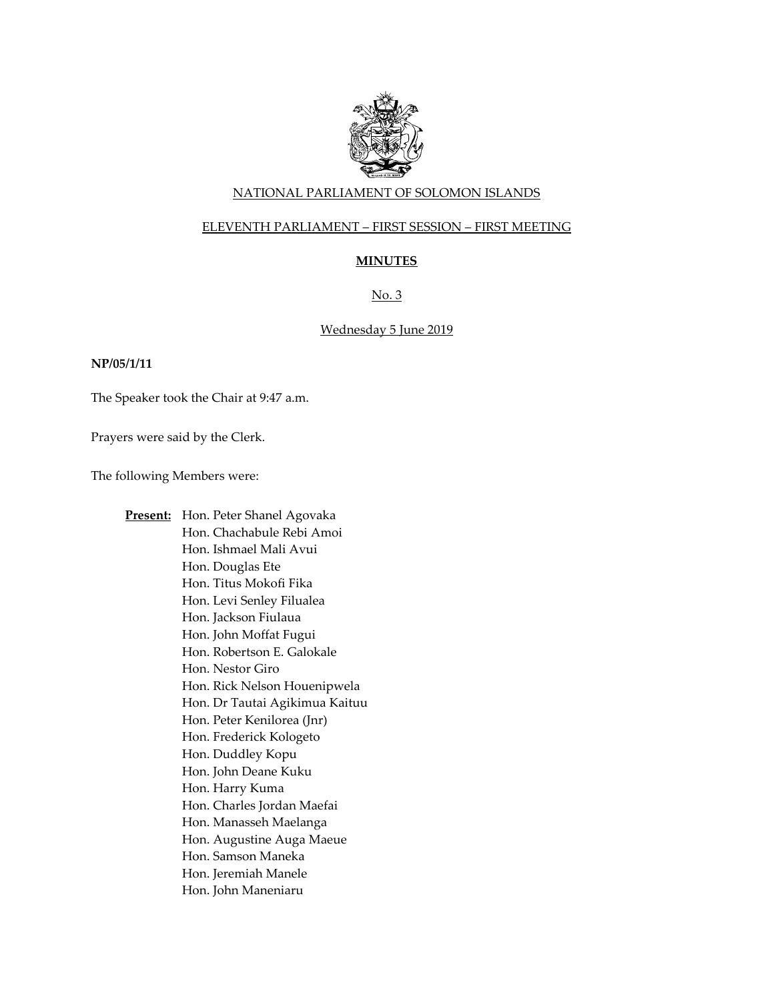

### NATIONAL PARLIAMENT OF SOLOMON ISLANDS

### ELEVENTH PARLIAMENT – FIRST SESSION – FIRST MEETING

# **MINUTES**

# No. 3

### Wednesday 5 June 2019

### **NP/05/1/11**

The Speaker took the Chair at 9:47 a.m.

Prayers were said by the Clerk.

The following Members were:

**Present:** Hon. Peter Shanel Agovaka Hon. Chachabule Rebi Amoi Hon. Ishmael Mali Avui Hon. Douglas Ete Hon. Titus Mokofi Fika Hon. Levi Senley Filualea Hon. Jackson Fiulaua Hon. John Moffat Fugui Hon. Robertson E. Galokale Hon. Nestor Giro Hon. Rick Nelson Houenipwela Hon. Dr Tautai Agikimua Kaituu Hon. Peter Kenilorea (Jnr) Hon. Frederick Kologeto Hon. Duddley Kopu Hon. John Deane Kuku Hon. Harry Kuma Hon. Charles Jordan Maefai Hon. Manasseh Maelanga Hon. Augustine Auga Maeue Hon. Samson Maneka Hon. Jeremiah Manele Hon. John Maneniaru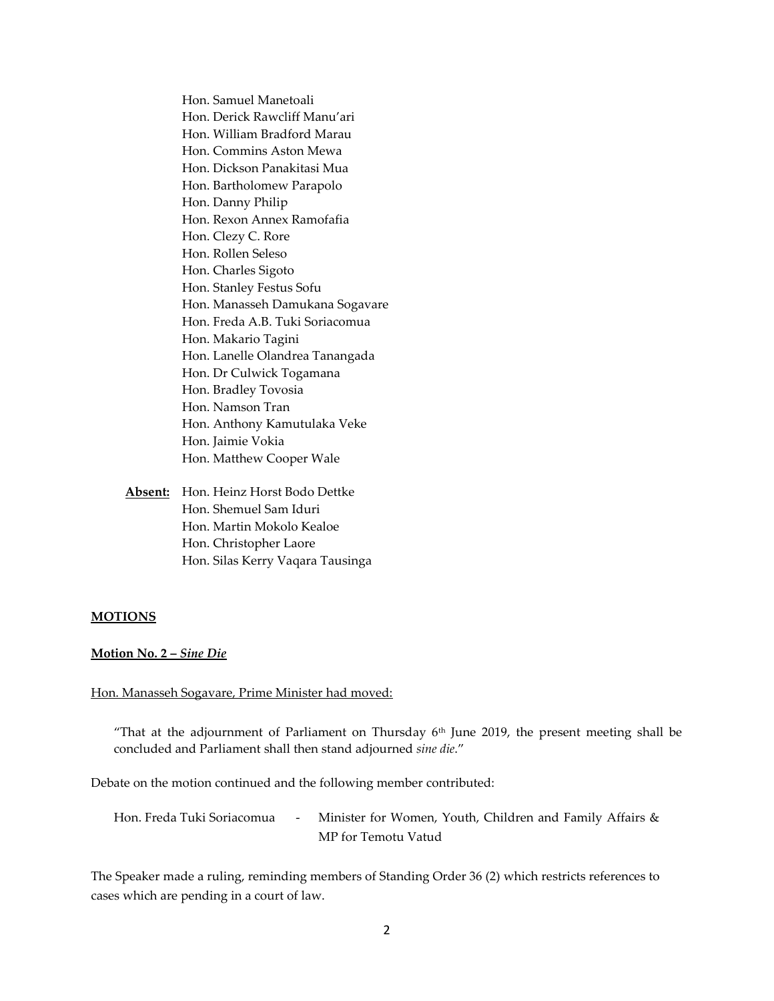Hon. Samuel Manetoali Hon. Derick Rawcliff Manu'ari Hon. William Bradford Marau Hon. Commins Aston Mewa Hon. Dickson Panakitasi Mua Hon. Bartholomew Parapolo Hon. Danny Philip Hon. Rexon Annex Ramofafia Hon. Clezy C. Rore Hon. Rollen Seleso Hon. Charles Sigoto Hon. Stanley Festus Sofu Hon. Manasseh Damukana Sogavare Hon. Freda A.B. Tuki Soriacomua Hon. Makario Tagini Hon. Lanelle Olandrea Tanangada Hon. Dr Culwick Togamana Hon. Bradley Tovosia Hon. Namson Tran Hon. Anthony Kamutulaka Veke Hon. Jaimie Vokia Hon. Matthew Cooper Wale

**Absent:** Hon. Heinz Horst Bodo Dettke Hon. Shemuel Sam Iduri Hon. Martin Mokolo Kealoe Hon. Christopher Laore Hon. Silas Kerry Vaqara Tausinga

#### **MOTIONS**

### **Motion No. 2 –** *Sine Die*

### Hon. Manasseh Sogavare, Prime Minister had moved:

"That at the adjournment of Parliament on Thursday  $6<sup>th</sup>$  June 2019, the present meeting shall be concluded and Parliament shall then stand adjourned *sine die*."

Debate on the motion continued and the following member contributed:

| Hon. Freda Tuki Soriacomua | Minister for Women, Youth, Children and Family Affairs & |
|----------------------------|----------------------------------------------------------|
|                            | MP for Temotu Vatud                                      |

The Speaker made a ruling, reminding members of Standing Order 36 (2) which restricts references to cases which are pending in a court of law.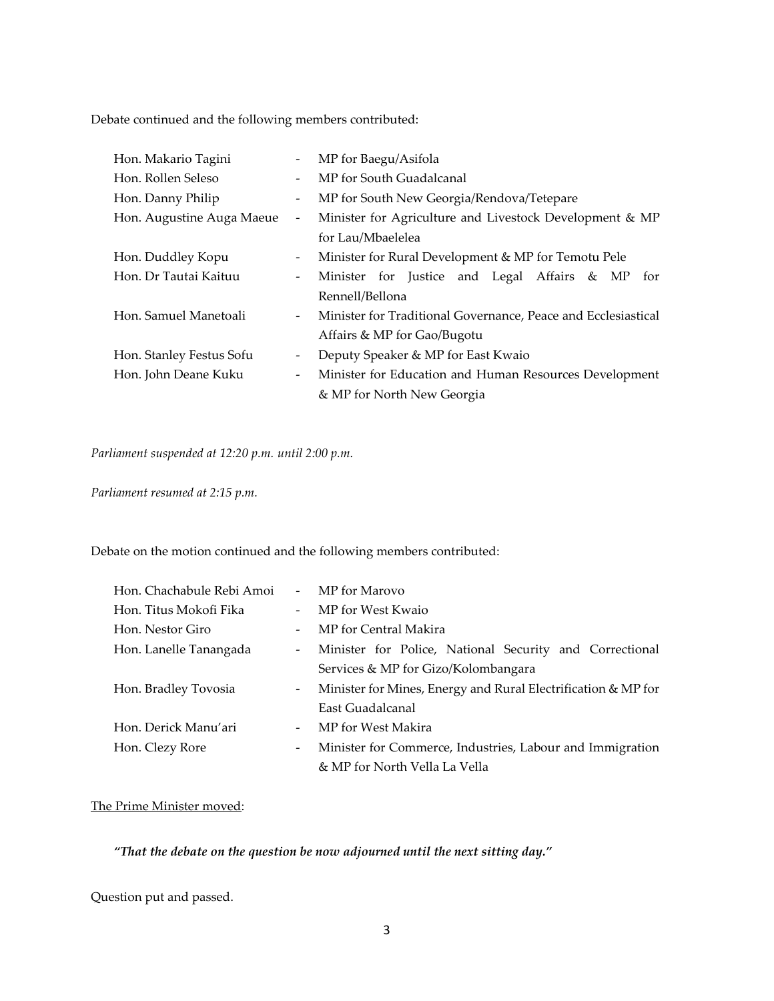Debate continued and the following members contributed:

| Hon. Makario Tagini       |                          | MP for Baegu/Asifola                                          |
|---------------------------|--------------------------|---------------------------------------------------------------|
| Hon. Rollen Seleso        |                          | MP for South Guadalcanal                                      |
| Hon. Danny Philip         |                          | MP for South New Georgia/Rendova/Tetepare                     |
| Hon. Augustine Auga Maeue | $\overline{\phantom{a}}$ | Minister for Agriculture and Livestock Development & MP       |
|                           |                          | for Lau/Mbaelelea                                             |
| Hon. Duddley Kopu         | $\overline{\phantom{0}}$ | Minister for Rural Development & MP for Temotu Pele           |
| Hon. Dr Tautai Kaituu     | $\overline{\phantom{0}}$ | Minister for Justice and Legal Affairs & MP<br>for            |
|                           |                          | Rennell/Bellona                                               |
| Hon. Samuel Manetoali     | $-$                      | Minister for Traditional Governance, Peace and Ecclesiastical |
|                           |                          | Affairs & MP for Gao/Bugotu                                   |
| Hon. Stanley Festus Sofu  | -                        | Deputy Speaker & MP for East Kwaio                            |
| Hon. John Deane Kuku      | $\overline{\phantom{0}}$ | Minister for Education and Human Resources Development        |
|                           |                          | & MP for North New Georgia                                    |

*Parliament suspended at 12:20 p.m. until 2:00 p.m.*

*Parliament resumed at 2:15 p.m.*

Debate on the motion continued and the following members contributed:

| Hon. Chachabule Rebi Amoi |                          | - MP for Marovo                                               |
|---------------------------|--------------------------|---------------------------------------------------------------|
| Hon. Titus Mokofi Fika    |                          | - MP for West Kwaio                                           |
| Hon. Nestor Giro          |                          | MP for Central Makira                                         |
| Hon. Lanelle Tanangada    |                          | - Minister for Police, National Security and Correctional     |
|                           |                          | Services & MP for Gizo/Kolombangara                           |
| Hon. Bradley Tovosia      | $\sim$ 100 $\mu$         | Minister for Mines, Energy and Rural Electrification & MP for |
|                           |                          | East Guadalcanal                                              |
| Hon. Derick Manu'ari      |                          | - MP for West Makira                                          |
| Hon. Clezy Rore           | $\overline{\phantom{a}}$ | Minister for Commerce, Industries, Labour and Immigration     |
|                           |                          | & MP for North Vella La Vella                                 |

The Prime Minister moved:

*"That the debate on the question be now adjourned until the next sitting day."*

Question put and passed.